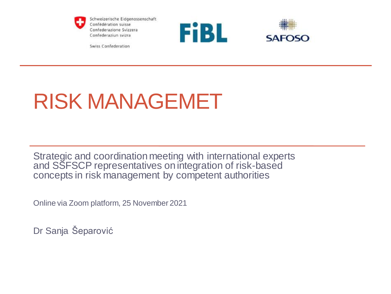

Schweizerische Eidgenossenschaft Confédération suisse Confederazione Svizzera Confederaziun svizra





Swiss Confederation

## RISK MANAGEMET

Strategic and coordination meeting with international experts and SSFSCP representatives on integration of risk-based concepts in risk management by competent authorities

Online via Zoom platform, 25 November 2021

Dr Sanja Šeparović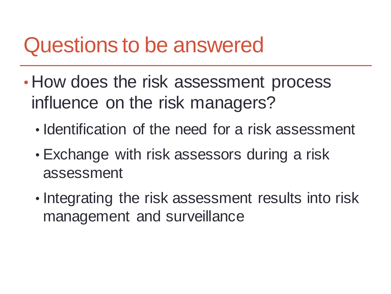### Questions to be answered

- How does the risk assessment process influence on the risk managers?
	- Identification of the need for a risk assessment
	- Exchange with risk assessors during a risk assessment
	- Integrating the risk assessment results into risk management and surveillance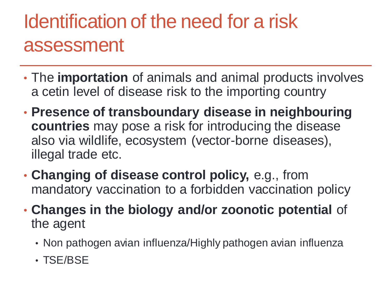### Identification of the need for a risk assessment

- The **importation** of animals and animal products involves a cetin level of disease risk to the importing country
- **Presence of transboundary disease in neighbouring countries** may pose a risk for introducing the disease also via wildlife, ecosystem (vector-borne diseases), illegal trade etc.
- **Changing of disease control policy,** e.g., from mandatory vaccination to a forbidden vaccination policy
- **Changes in the biology and/or zoonotic potential** of the agent
	- Non pathogen avian influenza/Highly pathogen avian influenza
	- TSE/BSE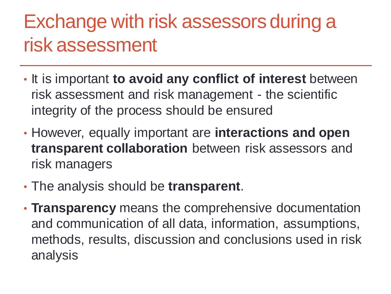### Exchange with risk assessors during a risk assessment

- It is important **to avoid any conflict of interest** between risk assessment and risk management - the scientific integrity of the process should be ensured
- However, equally important are **interactions and open transparent collaboration** between risk assessors and risk managers
- The analysis should be **transparent**.
- **Transparency** means the comprehensive documentation and communication of all data, information, assumptions, methods, results, discussion and conclusions used in risk analysis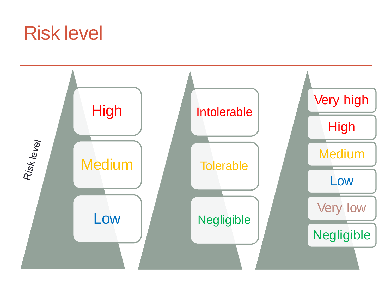### Risk level

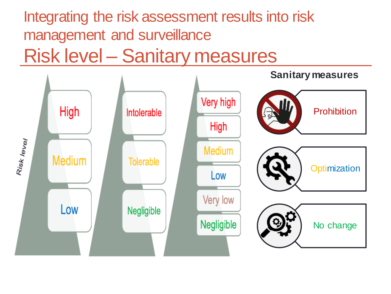### Integrating the risk assessment results into risk management and surveillance Risk level – Sanitary measures

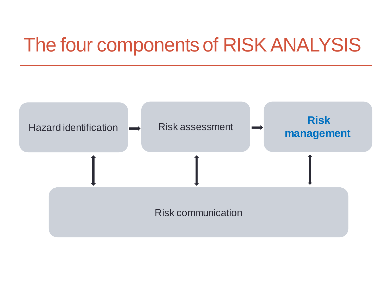### The four components of RISK ANALYSIS

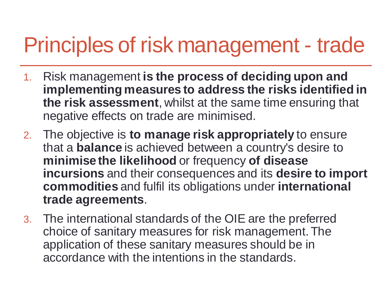## Principles of risk management - trade

- 1. Risk management **is the process of deciding upon and implementing measures to address the risks identified in the risk assessment**, whilst at the same time ensuring that negative effects on trade are minimised.
- 2. The objective is **to manage risk appropriately** to ensure that a **balance** is achieved between a country's desire to **minimise the likelihood** or frequency **of disease incursions** and their consequences and its **desire to import commodities** and fulfil its obligations under **international trade agreements**.
- 3. The international standards of the OIE are the preferred choice of sanitary measures for risk management. The application of these sanitary measures should be in accordance with the intentions in the standards.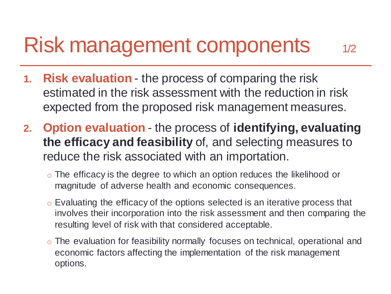## Risk management components 1/2

- **1. Risk evaluation**  the process of comparing the risk estimated in the risk assessment with the reduction in risk expected from the proposed risk management measures.
- **2. Option evaluation**  the process of **identifying, evaluating the efficacy and feasibility** of, and selecting measures to reduce the risk associated with an importation.
	- o The efficacy is the degree to which an option reduces the likelihood or magnitude of adverse health and economic consequences.
	- o Evaluating the efficacy of the options selected is an iterative process that involves their incorporation into the risk assessment and then comparing the resulting level of risk with that considered acceptable.
	- o The evaluation for feasibility normally focuses on technical, operational and economic factors affecting the implementation of the risk management options.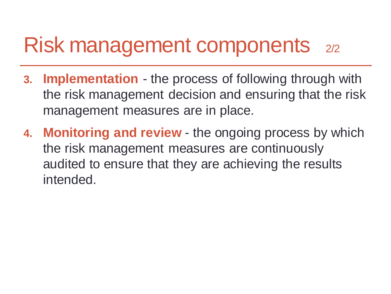### Risk management components 2/2

- **3. Implementation**  the process of following through with the risk management decision and ensuring that the risk management measures are in place.
- **4. Monitoring and review**  the ongoing process by which the risk management measures are continuously audited to ensure that they are achieving the results intended.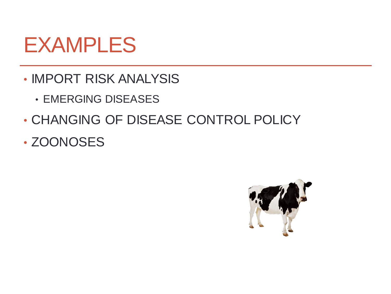### EXAMPLES

- IMPORT RISK ANALYSIS
	- EMERGING DISEASES
- CHANGING OF DISEASE CONTROL POLICY
- ZOONOSES

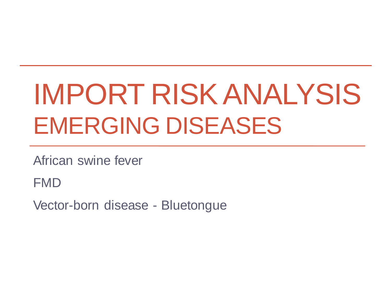# IMPORT RISK ANALYSIS EMERGING DISEASES

African swine fever

FMD

Vector-born disease - Bluetongue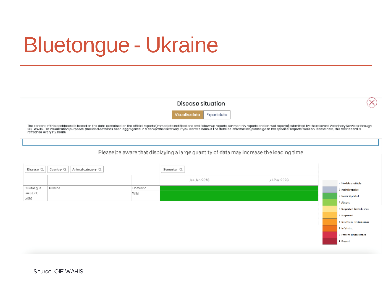## Bluetongue - Ukraine

Disease situation

Visualize data Export data

The content of this dashboard is based on the data contained on the official reports (immediate notifications and follow-up reports, sk-monthly reports and annual reports) submitted by the relevant Veterinary Services thro refreshed every 1-2 hours.

#### Please be aware that displaying a large quantity of data may increase the loading time

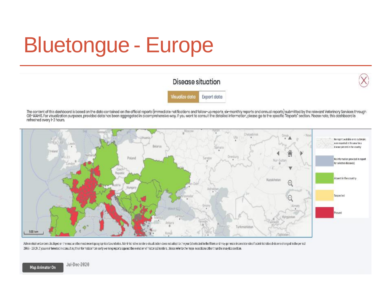# Bluetongue - Europe

### Disease situation



Visualize data Export data

The content of this dashboord is based on the data contained on the official reports (immediate natifications and follow-up reports, six-monthly reports and annual reports) submitted by the relevant Veterinary Services thr refreshed every 1-2 hours.



Administrative borders classages on the most and the most recent geographical boundaries. Administrative portlers visual astion does not adapt to the year (s) selected in the filters and may generate inconsistencies if adm 2006 - 2019. If you are interested in consulting the information from early warning reports against the evolution of historical borders, blease refer to the maps in sections other than the analytics section.

Map Animator On

Jul-Dec-2020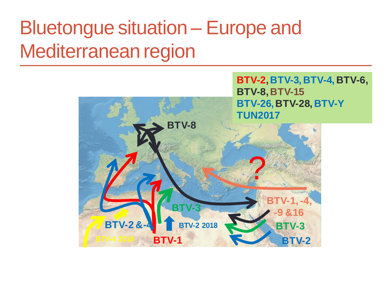### Bluetongue situation – Europe and Mediterranean region

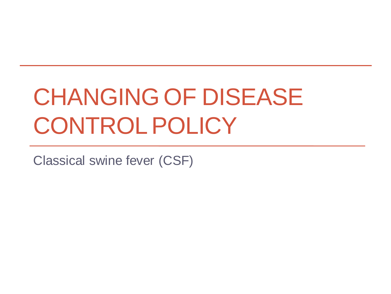# CHANGING OF DISEASE CONTROL POLICY

Classical swine fever (CSF)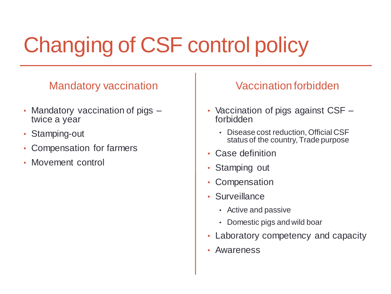# Changing of CSF control policy

### Mandatory vaccination

- Mandatory vaccination of pigs twice a year
- Stamping-out
- Compensation for farmers
- Movement control

### Vaccination forbidden

- Vaccination of pigs against CSF forbidden
	- Disease cost reduction, Official CSF status of the country, Trade purpose
- Case definition
- Stamping out
- Compensation
- Surveillance
	- Active and passive
	- Domestic pigs and wild boar
- Laboratory competency and capacity
- Awareness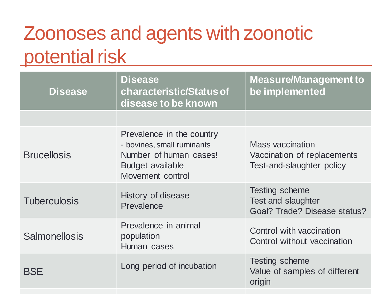### Zoonoses and agents with zoonotic potential risk

| <b>Disease</b>       | <b>Disease</b><br>characteristic/Status of<br>disease to be known                                                                | <b>Measure/Management to</b><br>be implemented                                            |
|----------------------|----------------------------------------------------------------------------------------------------------------------------------|-------------------------------------------------------------------------------------------|
|                      |                                                                                                                                  |                                                                                           |
| <b>Brucellosis</b>   | Prevalence in the country<br>- bovines, small ruminants<br>Number of human cases!<br><b>Budget available</b><br>Movement control | <b>Mass vaccination</b><br>Vaccination of replacements<br>Test-and-slaughter policy       |
| <b>Tuberculosis</b>  | History of disease<br>Prevalence                                                                                                 | <b>Testing scheme</b><br><b>Test and slaughter</b><br><b>Goal? Trade? Disease status?</b> |
| <b>Salmonellosis</b> | Prevalence in animal<br>population<br>Human cases                                                                                | Control with vaccination<br>Control without vaccination                                   |
| <b>BSE</b>           | Long period of incubation                                                                                                        | Testing scheme<br>Value of samples of different<br>origin                                 |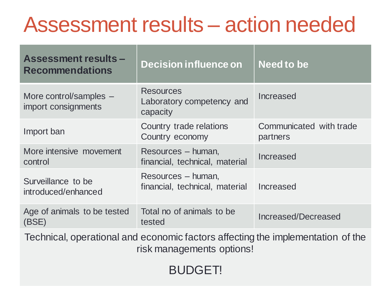## Assessment results – action needed

| <b>Assessment results -</b><br><b>Recommendations</b>                           | <b>Decision influence on</b>                              | <b>Need to be</b>                   |  |  |
|---------------------------------------------------------------------------------|-----------------------------------------------------------|-------------------------------------|--|--|
| More control/samples -<br>import consignments                                   | <b>Resources</b><br>Laboratory competency and<br>capacity | Increased                           |  |  |
| Import ban                                                                      | Country trade relations<br>Country economy                | Communicated with trade<br>partners |  |  |
| More intensive movement<br>control                                              | Resources – human,<br>financial, technical, material      | Increased                           |  |  |
| Surveillance to be<br>introduced/enhanced                                       | Resources – human,<br>financial, technical, material      | Increased                           |  |  |
| Age of animals to be tested<br>(BSE)                                            | Total no of animals to be<br>tested                       | <b>Increased/Decreased</b>          |  |  |
| Technical, operational and economic factors affecting the implementation of the |                                                           |                                     |  |  |

risk managements options!

BUDGET!